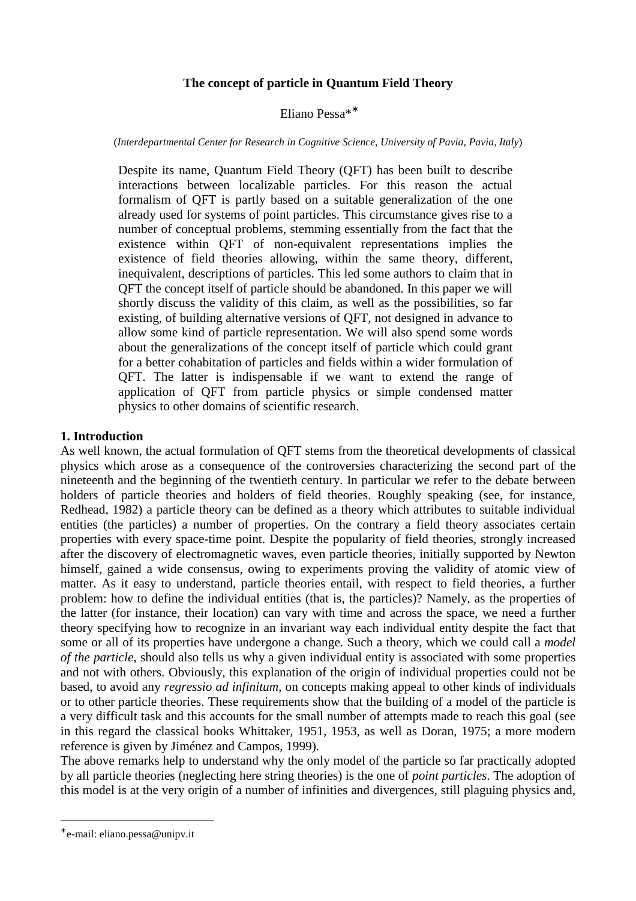# **The concept of particle in Quantum Field Theory**

## Eliano Pessa\*<sup>∗</sup>

#### (*Interdepartmental Center for Research in Cognitive Science, University of Pavia, Pavia, Italy*)

Despite its name, Quantum Field Theory (QFT) has been built to describe interactions between localizable particles. For this reason the actual formalism of QFT is partly based on a suitable generalization of the one already used for systems of point particles. This circumstance gives rise to a number of conceptual problems, stemming essentially from the fact that the existence within QFT of non-equivalent representations implies the existence of field theories allowing, within the same theory, different, inequivalent, descriptions of particles. This led some authors to claim that in QFT the concept itself of particle should be abandoned. In this paper we will shortly discuss the validity of this claim, as well as the possibilities, so far existing, of building alternative versions of QFT, not designed in advance to allow some kind of particle representation. We will also spend some words about the generalizations of the concept itself of particle which could grant for a better cohabitation of particles and fields within a wider formulation of QFT. The latter is indispensable if we want to extend the range of application of QFT from particle physics or simple condensed matter physics to other domains of scientific research.

### **1. Introduction**

As well known, the actual formulation of QFT stems from the theoretical developments of classical physics which arose as a consequence of the controversies characterizing the second part of the nineteenth and the beginning of the twentieth century. In particular we refer to the debate between holders of particle theories and holders of field theories. Roughly speaking (see, for instance, Redhead, 1982) a particle theory can be defined as a theory which attributes to suitable individual entities (the particles) a number of properties. On the contrary a field theory associates certain properties with every space-time point. Despite the popularity of field theories, strongly increased after the discovery of electromagnetic waves, even particle theories, initially supported by Newton himself, gained a wide consensus, owing to experiments proving the validity of atomic view of matter. As it easy to understand, particle theories entail, with respect to field theories, a further problem: how to define the individual entities (that is, the particles)? Namely, as the properties of the latter (for instance, their location) can vary with time and across the space, we need a further theory specifying how to recognize in an invariant way each individual entity despite the fact that some or all of its properties have undergone a change. Such a theory, which we could call a *model of the particle*, should also tells us why a given individual entity is associated with some properties and not with others. Obviously, this explanation of the origin of individual properties could not be based, to avoid any *regressio ad infinitum*, on concepts making appeal to other kinds of individuals or to other particle theories. These requirements show that the building of a model of the particle is a very difficult task and this accounts for the small number of attempts made to reach this goal (see in this regard the classical books Whittaker, 1951, 1953, as well as Doran, 1975; a more modern reference is given by Jiménez and Campos, 1999).

The above remarks help to understand why the only model of the particle so far practically adopted by all particle theories (neglecting here string theories) is the one of *point particles*. The adoption of this model is at the very origin of a number of infinities and divergences, still plaguing physics and,

 $\overline{a}$ 

<sup>∗</sup> e-mail: eliano.pessa@unipv.it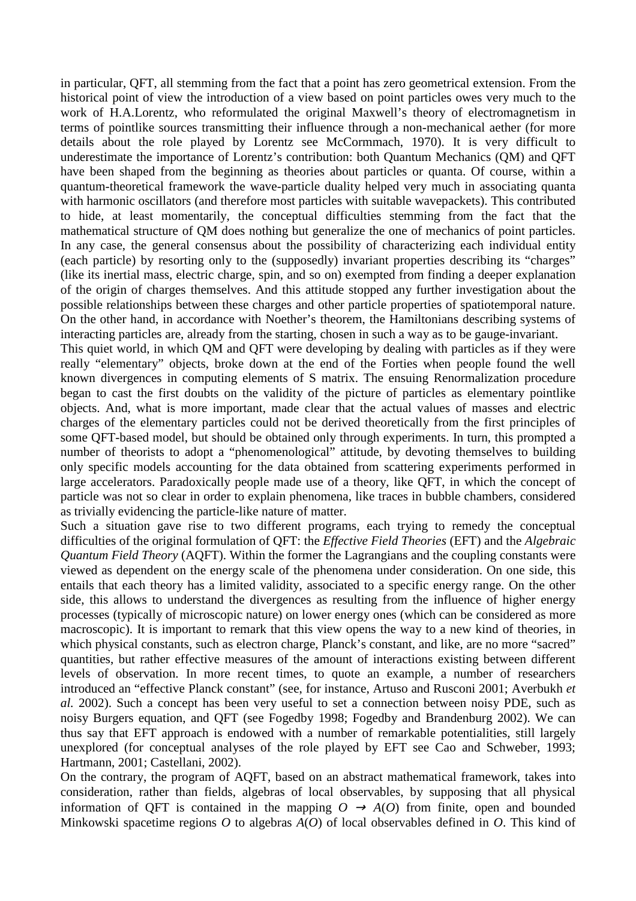in particular, QFT, all stemming from the fact that a point has zero geometrical extension. From the historical point of view the introduction of a view based on point particles owes very much to the work of H.A.Lorentz, who reformulated the original Maxwell's theory of electromagnetism in terms of pointlike sources transmitting their influence through a non-mechanical aether (for more details about the role played by Lorentz see McCormmach, 1970). It is very difficult to underestimate the importance of Lorentz's contribution: both Quantum Mechanics (QM) and QFT have been shaped from the beginning as theories about particles or quanta. Of course, within a quantum-theoretical framework the wave-particle duality helped very much in associating quanta with harmonic oscillators (and therefore most particles with suitable wavepackets). This contributed to hide, at least momentarily, the conceptual difficulties stemming from the fact that the mathematical structure of QM does nothing but generalize the one of mechanics of point particles. In any case, the general consensus about the possibility of characterizing each individual entity (each particle) by resorting only to the (supposedly) invariant properties describing its "charges" (like its inertial mass, electric charge, spin, and so on) exempted from finding a deeper explanation of the origin of charges themselves. And this attitude stopped any further investigation about the possible relationships between these charges and other particle properties of spatiotemporal nature. On the other hand, in accordance with Noether's theorem, the Hamiltonians describing systems of interacting particles are, already from the starting, chosen in such a way as to be gauge-invariant.

This quiet world, in which QM and QFT were developing by dealing with particles as if they were really "elementary" objects, broke down at the end of the Forties when people found the well known divergences in computing elements of S matrix. The ensuing Renormalization procedure began to cast the first doubts on the validity of the picture of particles as elementary pointlike objects. And, what is more important, made clear that the actual values of masses and electric charges of the elementary particles could not be derived theoretically from the first principles of some QFT-based model, but should be obtained only through experiments. In turn, this prompted a number of theorists to adopt a "phenomenological" attitude, by devoting themselves to building only specific models accounting for the data obtained from scattering experiments performed in large accelerators. Paradoxically people made use of a theory, like QFT, in which the concept of particle was not so clear in order to explain phenomena, like traces in bubble chambers, considered as trivially evidencing the particle-like nature of matter.

Such a situation gave rise to two different programs, each trying to remedy the conceptual difficulties of the original formulation of QFT: the *Effective Field Theories* (EFT) and the *Algebraic Quantum Field Theory* (AQFT). Within the former the Lagrangians and the coupling constants were viewed as dependent on the energy scale of the phenomena under consideration. On one side, this entails that each theory has a limited validity, associated to a specific energy range. On the other side, this allows to understand the divergences as resulting from the influence of higher energy processes (typically of microscopic nature) on lower energy ones (which can be considered as more macroscopic). It is important to remark that this view opens the way to a new kind of theories, in which physical constants, such as electron charge, Planck's constant, and like, are no more "sacred" quantities, but rather effective measures of the amount of interactions existing between different levels of observation. In more recent times, to quote an example, a number of researchers introduced an "effective Planck constant" (see, for instance, Artuso and Rusconi 2001; Averbukh *et al.* 2002). Such a concept has been very useful to set a connection between noisy PDE, such as noisy Burgers equation, and QFT (see Fogedby 1998; Fogedby and Brandenburg 2002). We can thus say that EFT approach is endowed with a number of remarkable potentialities, still largely unexplored (for conceptual analyses of the role played by EFT see Cao and Schweber, 1993; Hartmann, 2001; Castellani, 2002).

On the contrary, the program of AQFT, based on an abstract mathematical framework, takes into consideration, rather than fields, algebras of local observables, by supposing that all physical information of QFT is contained in the mapping  $O \rightarrow A(O)$  from finite, open and bounded Minkowski spacetime regions *O* to algebras *A*(*O*) of local observables defined in *O*. This kind of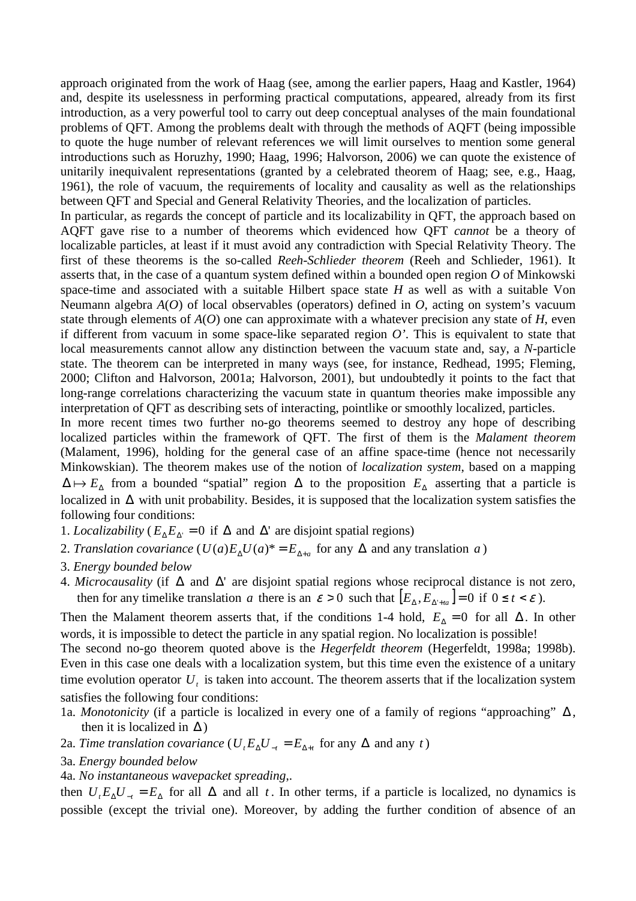approach originated from the work of Haag (see, among the earlier papers, Haag and Kastler, 1964) and, despite its uselessness in performing practical computations, appeared, already from its first introduction, as a very powerful tool to carry out deep conceptual analyses of the main foundational problems of QFT. Among the problems dealt with through the methods of AQFT (being impossible to quote the huge number of relevant references we will limit ourselves to mention some general introductions such as Horuzhy, 1990; Haag, 1996; Halvorson, 2006) we can quote the existence of unitarily inequivalent representations (granted by a celebrated theorem of Haag; see, e.g., Haag, 1961), the role of vacuum, the requirements of locality and causality as well as the relationships between QFT and Special and General Relativity Theories, and the localization of particles.

In particular, as regards the concept of particle and its localizability in QFT, the approach based on AQFT gave rise to a number of theorems which evidenced how QFT *cannot* be a theory of localizable particles, at least if it must avoid any contradiction with Special Relativity Theory. The first of these theorems is the so-called *Reeh-Schlieder theorem* (Reeh and Schlieder, 1961). It asserts that, in the case of a quantum system defined within a bounded open region *O* of Minkowski space-time and associated with a suitable Hilbert space state *H* as well as with a suitable Von Neumann algebra *A*(*O*) of local observables (operators) defined in *O*, acting on system's vacuum state through elements of *A*(*O*) one can approximate with a whatever precision any state of *H*, even if different from vacuum in some space-like separated region  $O'$ . This is equivalent to state that local measurements cannot allow any distinction between the vacuum state and, say, a *N*-particle state. The theorem can be interpreted in many ways (see, for instance, Redhead, 1995; Fleming, 2000; Clifton and Halvorson, 2001a; Halvorson, 2001), but undoubtedly it points to the fact that long-range correlations characterizing the vacuum state in quantum theories make impossible any interpretation of QFT as describing sets of interacting, pointlike or smoothly localized, particles.

In more recent times two further no-go theorems seemed to destroy any hope of describing localized particles within the framework of QFT. The first of them is the *Malament theorem* (Malament, 1996), holding for the general case of an affine space-time (hence not necessarily Minkowskian). The theorem makes use of the notion of *localization system*, based on a mapping  $\Delta \mapsto E_\Delta$  from a bounded "spatial" region  $\Delta$  to the proposition  $E_\Delta$  asserting that a particle is localized in ∆ with unit probability. Besides, it is supposed that the localization system satisfies the following four conditions:

- 1. *Localizability* ( $E_{\Delta}E_{\Delta}$ ' = 0 if  $\Delta$  and  $\Delta$ ' are disjoint spatial regions)
- 2. *Translation covariance*  $(U(a)E_{\Delta}U(a)^* = E_{\Delta+a}$  for any  $\Delta$  and any translation *a* )
- 3. *Energy bounded below*
- 4. *Microcausality* (if ∆ and ∆' are disjoint spatial regions whose reciprocal distance is not zero, then for any timelike translation *a* there is an  $\varepsilon > 0$  such that  $\left[ E_{\Delta}, E_{\Delta' + t a} \right] = 0$  if  $0 \le t < \varepsilon$ ).

Then the Malament theorem asserts that, if the conditions 1-4 hold,  $E_\lambda = 0$  for all  $\Delta$ . In other words, it is impossible to detect the particle in any spatial region. No localization is possible!

The second no-go theorem quoted above is the *Hegerfeldt theorem* (Hegerfeldt, 1998a; 1998b). Even in this case one deals with a localization system, but this time even the existence of a unitary time evolution operator  $U_t$  is taken into account. The theorem asserts that if the localization system satisfies the following four conditions:

- 1a. *Monotonicity* (if a particle is localized in every one of a family of regions "approaching" ∆ , then it is localized in  $\Delta$ )
- 2a. *Time translation covariance*  $(U_t E_{\Delta} U_{-t} = E_{\Delta + t}$  for any  $\Delta$  and any *t*)
- 3a. *Energy bounded below*
- 4a. *No instantaneous wavepacket spreading*,.

then  $U_t E_\Delta U_{-t} = E_\Delta$  for all  $\Delta$  and all *t*. In other terms, if a particle is localized, no dynamics is possible (except the trivial one). Moreover, by adding the further condition of absence of an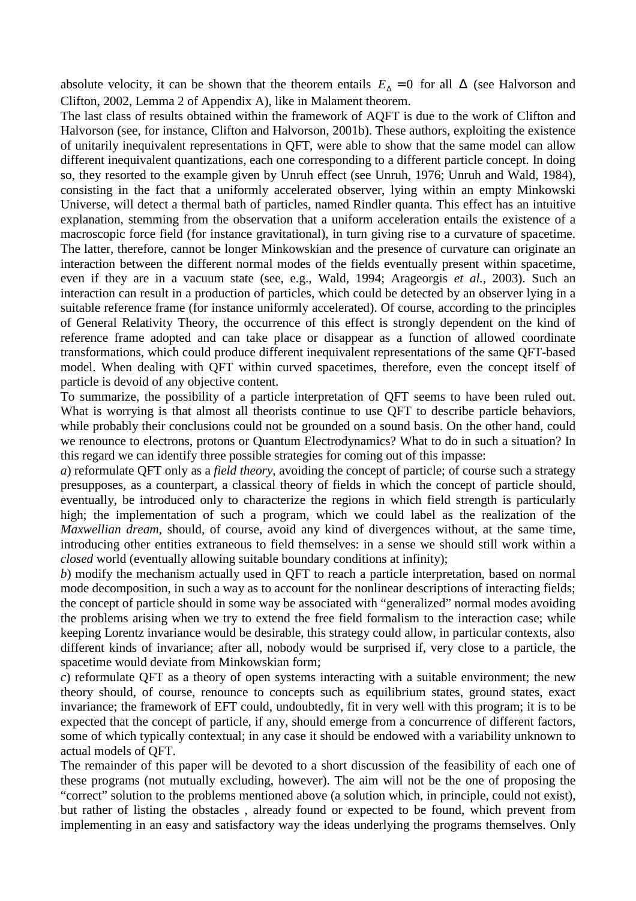absolute velocity, it can be shown that the theorem entails  $E_\lambda = 0$  for all  $\Delta$  (see Halvorson and Clifton, 2002, Lemma 2 of Appendix A), like in Malament theorem.

The last class of results obtained within the framework of AQFT is due to the work of Clifton and Halvorson (see, for instance, Clifton and Halvorson, 2001b). These authors, exploiting the existence of unitarily inequivalent representations in QFT, were able to show that the same model can allow different inequivalent quantizations, each one corresponding to a different particle concept. In doing so, they resorted to the example given by Unruh effect (see Unruh, 1976; Unruh and Wald, 1984), consisting in the fact that a uniformly accelerated observer, lying within an empty Minkowski Universe, will detect a thermal bath of particles, named Rindler quanta. This effect has an intuitive explanation, stemming from the observation that a uniform acceleration entails the existence of a macroscopic force field (for instance gravitational), in turn giving rise to a curvature of spacetime. The latter, therefore, cannot be longer Minkowskian and the presence of curvature can originate an interaction between the different normal modes of the fields eventually present within spacetime, even if they are in a vacuum state (see, e.g., Wald, 1994; Arageorgis *et al.*, 2003). Such an interaction can result in a production of particles, which could be detected by an observer lying in a suitable reference frame (for instance uniformly accelerated). Of course, according to the principles of General Relativity Theory, the occurrence of this effect is strongly dependent on the kind of reference frame adopted and can take place or disappear as a function of allowed coordinate transformations, which could produce different inequivalent representations of the same QFT-based model. When dealing with QFT within curved spacetimes, therefore, even the concept itself of particle is devoid of any objective content.

To summarize, the possibility of a particle interpretation of QFT seems to have been ruled out. What is worrying is that almost all theorists continue to use QFT to describe particle behaviors, while probably their conclusions could not be grounded on a sound basis. On the other hand, could we renounce to electrons, protons or Quantum Electrodynamics? What to do in such a situation? In this regard we can identify three possible strategies for coming out of this impasse:

*a*) reformulate QFT only as a *field theory*, avoiding the concept of particle; of course such a strategy presupposes, as a counterpart, a classical theory of fields in which the concept of particle should, eventually, be introduced only to characterize the regions in which field strength is particularly high; the implementation of such a program, which we could label as the realization of the *Maxwellian dream*, should, of course, avoid any kind of divergences without, at the same time, introducing other entities extraneous to field themselves: in a sense we should still work within a *closed* world (eventually allowing suitable boundary conditions at infinity);

*b*) modify the mechanism actually used in QFT to reach a particle interpretation, based on normal mode decomposition, in such a way as to account for the nonlinear descriptions of interacting fields; the concept of particle should in some way be associated with "generalized" normal modes avoiding the problems arising when we try to extend the free field formalism to the interaction case; while keeping Lorentz invariance would be desirable, this strategy could allow, in particular contexts, also different kinds of invariance; after all, nobody would be surprised if, very close to a particle, the spacetime would deviate from Minkowskian form;

*c*) reformulate QFT as a theory of open systems interacting with a suitable environment; the new theory should, of course, renounce to concepts such as equilibrium states, ground states, exact invariance; the framework of EFT could, undoubtedly, fit in very well with this program; it is to be expected that the concept of particle, if any, should emerge from a concurrence of different factors, some of which typically contextual; in any case it should be endowed with a variability unknown to actual models of QFT.

The remainder of this paper will be devoted to a short discussion of the feasibility of each one of these programs (not mutually excluding, however). The aim will not be the one of proposing the "correct" solution to the problems mentioned above (a solution which, in principle, could not exist), but rather of listing the obstacles , already found or expected to be found, which prevent from implementing in an easy and satisfactory way the ideas underlying the programs themselves. Only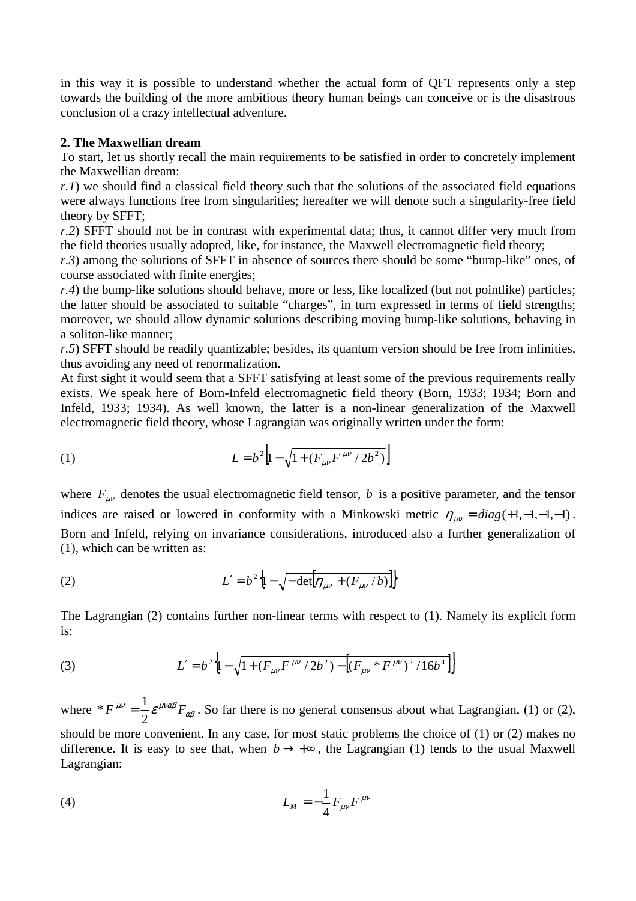in this way it is possible to understand whether the actual form of QFT represents only a step towards the building of the more ambitious theory human beings can conceive or is the disastrous conclusion of a crazy intellectual adventure.

# **2. The Maxwellian dream**

To start, let us shortly recall the main requirements to be satisfied in order to concretely implement the Maxwellian dream:

*r.1*) we should find a classical field theory such that the solutions of the associated field equations were always functions free from singularities; hereafter we will denote such a singularity-free field theory by SFFT;

*r.2*) SFFT should not be in contrast with experimental data; thus, it cannot differ very much from the field theories usually adopted, like, for instance, the Maxwell electromagnetic field theory;

*r.3*) among the solutions of SFFT in absence of sources there should be some "bump-like" ones, of course associated with finite energies;

*r.4*) the bump-like solutions should behave, more or less, like localized (but not pointlike) particles; the latter should be associated to suitable "charges", in turn expressed in terms of field strengths; moreover, we should allow dynamic solutions describing moving bump-like solutions, behaving in a soliton-like manner;

*r.5*) SFFT should be readily quantizable; besides, its quantum version should be free from infinities, thus avoiding any need of renormalization.

At first sight it would seem that a SFFT satisfying at least some of the previous requirements really exists. We speak here of Born-Infeld electromagnetic field theory (Born, 1933; 1934; Born and Infeld, 1933; 1934). As well known, the latter is a non-linear generalization of the Maxwell electromagnetic field theory, whose Lagrangian was originally written under the form:

(1) 
$$
L = b^2 \left[ 1 - \sqrt{1 + (F_{\mu\nu} F^{\mu\nu} / 2b^2)} \right]
$$

where  $F_{\mu\nu}$  denotes the usual electromagnetic field tensor, *b* is a positive parameter, and the tensor indices are raised or lowered in conformity with a Minkowski metric  $\eta_{\mu\nu} = diag(+1,-1,-1,-1)$ . Born and Infeld, relying on invariance considerations, introduced also a further generalization of (1), which can be written as:

(2) 
$$
L' = b^2 \left\{ 1 - \sqrt{-\det[\eta_{\mu\nu} + (F_{\mu\nu}/b)]} \right\}
$$

The Lagrangian (2) contains further non-linear terms with respect to (1). Namely its explicit form is:

(3) 
$$
L' = b^2 \left\{ 1 - \sqrt{1 + (F_{\mu\nu} F^{\mu\nu} / 2b^2) - \left[ (F_{\mu\nu} * F^{\mu\nu})^2 / 16b^4 \right]} \right\}
$$

where  $* F^{\mu\nu} = \frac{1}{2} \varepsilon^{\mu\nu\alpha\beta} F_{\alpha\beta}$ 2 \*  $F^{\mu\nu} = \frac{1}{2} \varepsilon^{\mu\nu\alpha\beta} F_{\alpha\beta}$ . So far there is no general consensus about what Lagrangian, (1) or (2), should be more convenient. In any case, for most static problems the choice of (1) or (2) makes no difference. It is easy to see that, when  $b \rightarrow +\infty$ , the Lagrangian (1) tends to the usual Maxwell Lagrangian:

(4) 
$$
L_M = -\frac{1}{4} F_{\mu\nu} F^{\mu\nu}
$$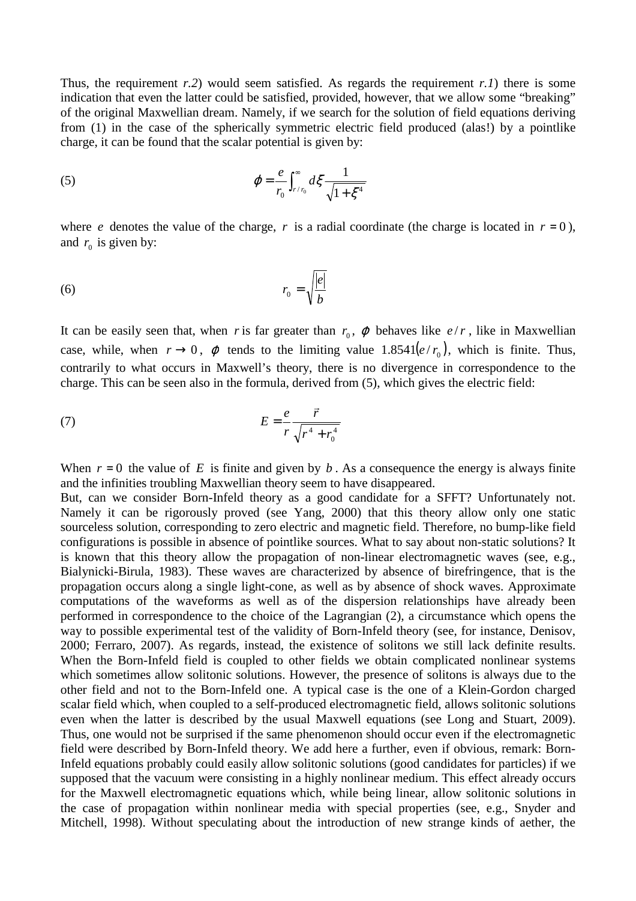Thus, the requirement  $r(2)$  would seem satisfied. As regards the requirement  $r(1)$  there is some indication that even the latter could be satisfied, provided, however, that we allow some "breaking" of the original Maxwellian dream. Namely, if we search for the solution of field equations deriving from (1) in the case of the spherically symmetric electric field produced (alas!) by a pointlike charge, it can be found that the scalar potential is given by:

(5) 
$$
\varphi = \frac{e}{r_0} \int_{r/r_0}^{\infty} d\xi \frac{1}{\sqrt{1 + \xi^4}}
$$

where *e* denotes the value of the charge, *r* is a radial coordinate (the charge is located in  $r = 0$ ), and  $r_0$  is given by:

$$
r_0 = \sqrt{\frac{|e|}{b}}
$$

It can be easily seen that, when *r* is far greater than  $r_0$ ,  $\varphi$  behaves like  $e/r$ , like in Maxwellian case, while, when  $r \to 0$ ,  $\varphi$  tends to the limiting value 1.8541 $(e/r_0)$ , which is finite. Thus, contrarily to what occurs in Maxwell's theory, there is no divergence in correspondence to the charge. This can be seen also in the formula, derived from (5), which gives the electric field:

$$
(7) \t\t\t E = \frac{e}{r} \frac{\vec{r}}{\sqrt{r^4 + r_0^4}}
$$

When  $r = 0$  the value of *E* is finite and given by *b*. As a consequence the energy is always finite and the infinities troubling Maxwellian theory seem to have disappeared.

But, can we consider Born-Infeld theory as a good candidate for a SFFT? Unfortunately not. Namely it can be rigorously proved (see Yang, 2000) that this theory allow only one static sourceless solution, corresponding to zero electric and magnetic field. Therefore, no bump-like field configurations is possible in absence of pointlike sources. What to say about non-static solutions? It is known that this theory allow the propagation of non-linear electromagnetic waves (see, e.g., Bialynicki-Birula, 1983). These waves are characterized by absence of birefringence, that is the propagation occurs along a single light-cone, as well as by absence of shock waves. Approximate computations of the waveforms as well as of the dispersion relationships have already been performed in correspondence to the choice of the Lagrangian (2), a circumstance which opens the way to possible experimental test of the validity of Born-Infeld theory (see, for instance, Denisov, 2000; Ferraro, 2007). As regards, instead, the existence of solitons we still lack definite results. When the Born-Infeld field is coupled to other fields we obtain complicated nonlinear systems which sometimes allow solitonic solutions. However, the presence of solitons is always due to the other field and not to the Born-Infeld one. A typical case is the one of a Klein-Gordon charged scalar field which, when coupled to a self-produced electromagnetic field, allows solitonic solutions even when the latter is described by the usual Maxwell equations (see Long and Stuart, 2009). Thus, one would not be surprised if the same phenomenon should occur even if the electromagnetic field were described by Born-Infeld theory. We add here a further, even if obvious, remark: Born-Infeld equations probably could easily allow solitonic solutions (good candidates for particles) if we supposed that the vacuum were consisting in a highly nonlinear medium. This effect already occurs for the Maxwell electromagnetic equations which, while being linear, allow solitonic solutions in the case of propagation within nonlinear media with special properties (see, e.g., Snyder and Mitchell, 1998). Without speculating about the introduction of new strange kinds of aether, the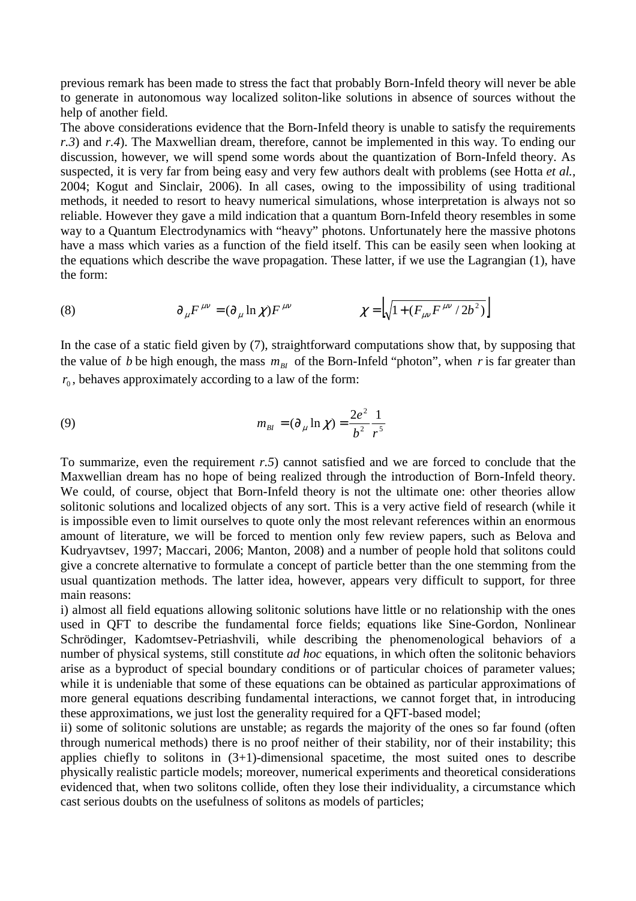previous remark has been made to stress the fact that probably Born-Infeld theory will never be able to generate in autonomous way localized soliton-like solutions in absence of sources without the help of another field.

The above considerations evidence that the Born-Infeld theory is unable to satisfy the requirements *r.3*) and *r.4*). The Maxwellian dream, therefore, cannot be implemented in this way. To ending our discussion, however, we will spend some words about the quantization of Born-Infeld theory. As suspected, it is very far from being easy and very few authors dealt with problems (see Hotta *et al.*, 2004; Kogut and Sinclair, 2006). In all cases, owing to the impossibility of using traditional methods, it needed to resort to heavy numerical simulations, whose interpretation is always not so reliable. However they gave a mild indication that a quantum Born-Infeld theory resembles in some way to a Quantum Electrodynamics with "heavy" photons. Unfortunately here the massive photons have a mass which varies as a function of the field itself. This can be easily seen when looking at the equations which describe the wave propagation. These latter, if we use the Lagrangian (1), have the form:

(8) 
$$
\partial_{\mu} F^{\mu\nu} = (\partial_{\mu} \ln \chi) F^{\mu\nu} \qquad \qquad \chi = \left[ \sqrt{1 + (F_{\mu\nu} F^{\mu\nu} / 2b^2)} \right]
$$

In the case of a static field given by (7), straightforward computations show that, by supposing that the value of *b* be high enough, the mass  $m_{B}$  of the Born-Infeld "photon", when *r* is far greater than  $r<sub>0</sub>$ , behaves approximately according to a law of the form:

(9) 
$$
m_{BI} = (\partial_{\mu} \ln \chi) = \frac{2e^2}{b^2} \frac{1}{r^5}
$$

To summarize, even the requirement *r.5*) cannot satisfied and we are forced to conclude that the Maxwellian dream has no hope of being realized through the introduction of Born-Infeld theory. We could, of course, object that Born-Infeld theory is not the ultimate one: other theories allow solitonic solutions and localized objects of any sort. This is a very active field of research (while it is impossible even to limit ourselves to quote only the most relevant references within an enormous amount of literature, we will be forced to mention only few review papers, such as Belova and Kudryavtsev, 1997; Maccari, 2006; Manton, 2008) and a number of people hold that solitons could give a concrete alternative to formulate a concept of particle better than the one stemming from the usual quantization methods. The latter idea, however, appears very difficult to support, for three main reasons:

i) almost all field equations allowing solitonic solutions have little or no relationship with the ones used in QFT to describe the fundamental force fields; equations like Sine-Gordon, Nonlinear Schrödinger, Kadomtsev-Petriashvili, while describing the phenomenological behaviors of a number of physical systems, still constitute *ad hoc* equations, in which often the solitonic behaviors arise as a byproduct of special boundary conditions or of particular choices of parameter values; while it is undeniable that some of these equations can be obtained as particular approximations of more general equations describing fundamental interactions, we cannot forget that, in introducing these approximations, we just lost the generality required for a QFT-based model;

ii) some of solitonic solutions are unstable; as regards the majority of the ones so far found (often through numerical methods) there is no proof neither of their stability, nor of their instability; this applies chiefly to solitons in  $(3+1)$ -dimensional spacetime, the most suited ones to describe physically realistic particle models; moreover, numerical experiments and theoretical considerations evidenced that, when two solitons collide, often they lose their individuality, a circumstance which cast serious doubts on the usefulness of solitons as models of particles;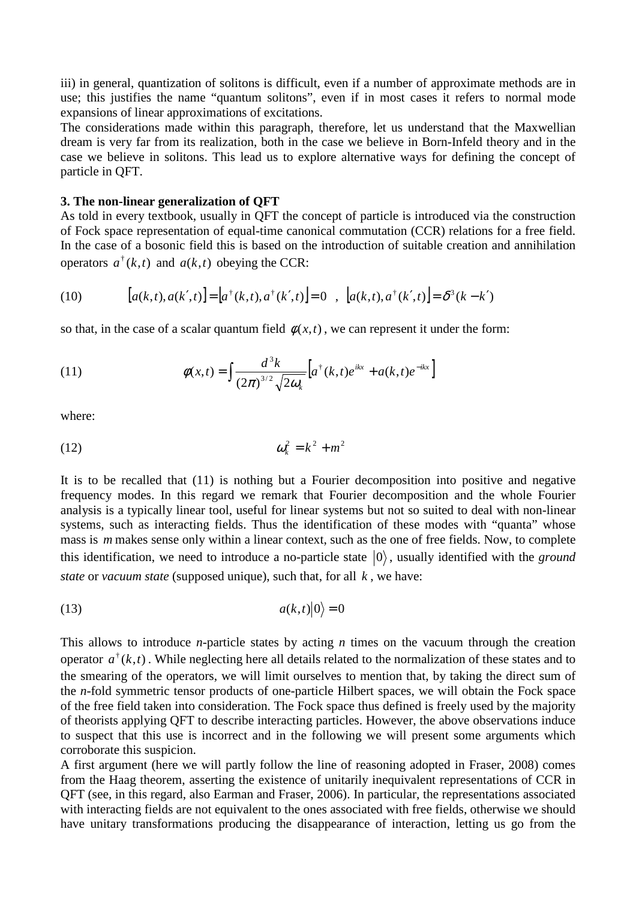iii) in general, quantization of solitons is difficult, even if a number of approximate methods are in use; this justifies the name "quantum solitons", even if in most cases it refers to normal mode expansions of linear approximations of excitations.

The considerations made within this paragraph, therefore, let us understand that the Maxwellian dream is very far from its realization, both in the case we believe in Born-Infeld theory and in the case we believe in solitons. This lead us to explore alternative ways for defining the concept of particle in QFT.

#### **3. The non-linear generalization of QFT**

As told in every textbook, usually in QFT the concept of particle is introduced via the construction of Fock space representation of equal-time canonical commutation (CCR) relations for a free field. In the case of a bosonic field this is based on the introduction of suitable creation and annihilation operators  $a^{\dagger}(k, t)$  and  $a(k, t)$  obeying the CCR:

(10) 
$$
[a(k,t), a(k',t)] = [a^{\dagger}(k,t), a^{\dagger}(k',t)] = 0 , [a(k,t), a^{\dagger}(k',t)] = \delta^{3}(k-k')
$$

so that, in the case of a scalar quantum field  $\phi(x,t)$ , we can represent it under the form:

(11) 
$$
\phi(x,t) = \int \frac{d^3k}{(2\pi)^{3/2} \sqrt{2\omega_k}} \left[ a^{\dagger}(k,t) e^{ikx} + a(k,t) e^{-ikx} \right]
$$

where:

$$
\omega_k^2 = k^2 + m^2
$$

It is to be recalled that (11) is nothing but a Fourier decomposition into positive and negative frequency modes. In this regard we remark that Fourier decomposition and the whole Fourier analysis is a typically linear tool, useful for linear systems but not so suited to deal with non-linear systems, such as interacting fields. Thus the identification of these modes with "quanta" whose mass is *m* makes sense only within a linear context, such as the one of free fields. Now, to complete this identification, we need to introduce a no-particle state  $|0\rangle$ , usually identified with the *ground state* or *vacuum state* (supposed unique), such that, for all *k* , we have:

$$
(13) \t a(k,t)|0\rangle = 0
$$

This allows to introduce *n*-particle states by acting *n* times on the vacuum through the creation operator  $a^{\dagger}(k,t)$ . While neglecting here all details related to the normalization of these states and to the smearing of the operators, we will limit ourselves to mention that, by taking the direct sum of the *n*-fold symmetric tensor products of one-particle Hilbert spaces, we will obtain the Fock space of the free field taken into consideration. The Fock space thus defined is freely used by the majority of theorists applying QFT to describe interacting particles. However, the above observations induce to suspect that this use is incorrect and in the following we will present some arguments which corroborate this suspicion.

A first argument (here we will partly follow the line of reasoning adopted in Fraser, 2008) comes from the Haag theorem, asserting the existence of unitarily inequivalent representations of CCR in QFT (see, in this regard, also Earman and Fraser, 2006). In particular, the representations associated with interacting fields are not equivalent to the ones associated with free fields, otherwise we should have unitary transformations producing the disappearance of interaction, letting us go from the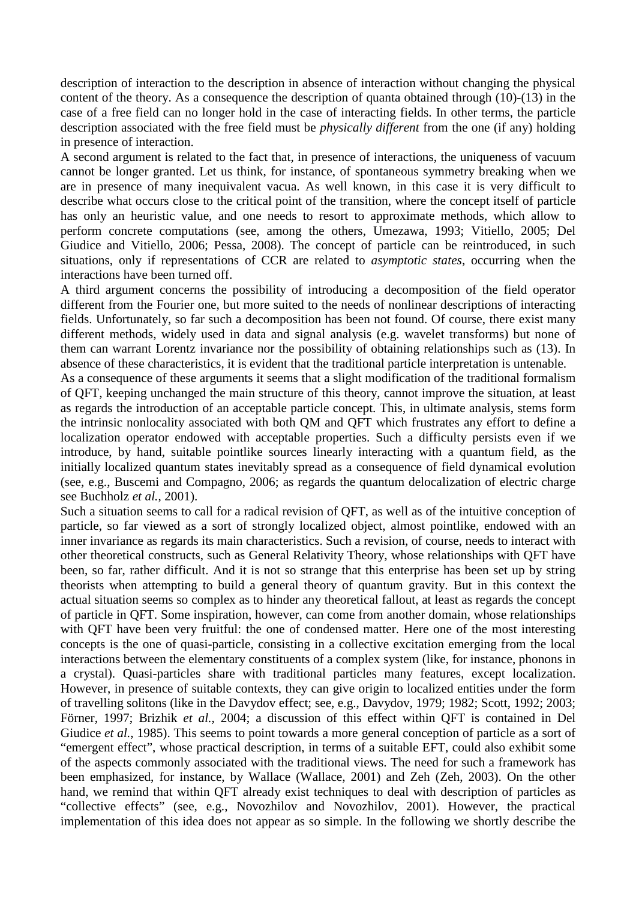description of interaction to the description in absence of interaction without changing the physical content of the theory. As a consequence the description of quanta obtained through (10)-(13) in the case of a free field can no longer hold in the case of interacting fields. In other terms, the particle description associated with the free field must be *physically different* from the one (if any) holding in presence of interaction.

A second argument is related to the fact that, in presence of interactions, the uniqueness of vacuum cannot be longer granted. Let us think, for instance, of spontaneous symmetry breaking when we are in presence of many inequivalent vacua. As well known, in this case it is very difficult to describe what occurs close to the critical point of the transition, where the concept itself of particle has only an heuristic value, and one needs to resort to approximate methods, which allow to perform concrete computations (see, among the others, Umezawa, 1993; Vitiello, 2005; Del Giudice and Vitiello, 2006; Pessa, 2008). The concept of particle can be reintroduced, in such situations, only if representations of CCR are related to *asymptotic states*, occurring when the interactions have been turned off.

A third argument concerns the possibility of introducing a decomposition of the field operator different from the Fourier one, but more suited to the needs of nonlinear descriptions of interacting fields. Unfortunately, so far such a decomposition has been not found. Of course, there exist many different methods, widely used in data and signal analysis (e.g. wavelet transforms) but none of them can warrant Lorentz invariance nor the possibility of obtaining relationships such as (13). In absence of these characteristics, it is evident that the traditional particle interpretation is untenable.

As a consequence of these arguments it seems that a slight modification of the traditional formalism of QFT, keeping unchanged the main structure of this theory, cannot improve the situation, at least as regards the introduction of an acceptable particle concept. This, in ultimate analysis, stems form the intrinsic nonlocality associated with both QM and QFT which frustrates any effort to define a localization operator endowed with acceptable properties. Such a difficulty persists even if we introduce, by hand, suitable pointlike sources linearly interacting with a quantum field, as the initially localized quantum states inevitably spread as a consequence of field dynamical evolution (see, e.g., Buscemi and Compagno, 2006; as regards the quantum delocalization of electric charge see Buchholz *et al.*, 2001).

Such a situation seems to call for a radical revision of QFT, as well as of the intuitive conception of particle, so far viewed as a sort of strongly localized object, almost pointlike, endowed with an inner invariance as regards its main characteristics. Such a revision, of course, needs to interact with other theoretical constructs, such as General Relativity Theory, whose relationships with QFT have been, so far, rather difficult. And it is not so strange that this enterprise has been set up by string theorists when attempting to build a general theory of quantum gravity. But in this context the actual situation seems so complex as to hinder any theoretical fallout, at least as regards the concept of particle in QFT. Some inspiration, however, can come from another domain, whose relationships with OFT have been very fruitful: the one of condensed matter. Here one of the most interesting concepts is the one of quasi-particle, consisting in a collective excitation emerging from the local interactions between the elementary constituents of a complex system (like, for instance, phonons in a crystal). Quasi-particles share with traditional particles many features, except localization. However, in presence of suitable contexts, they can give origin to localized entities under the form of travelling solitons (like in the Davydov effect; see, e.g., Davydov, 1979; 1982; Scott, 1992; 2003; Förner, 1997; Brizhik *et al.*, 2004; a discussion of this effect within QFT is contained in Del Giudice *et al.*, 1985). This seems to point towards a more general conception of particle as a sort of "emergent effect", whose practical description, in terms of a suitable EFT, could also exhibit some of the aspects commonly associated with the traditional views. The need for such a framework has been emphasized, for instance, by Wallace (Wallace, 2001) and Zeh (Zeh, 2003). On the other hand, we remind that within QFT already exist techniques to deal with description of particles as "collective effects" (see, e.g., Novozhilov and Novozhilov, 2001). However, the practical implementation of this idea does not appear as so simple. In the following we shortly describe the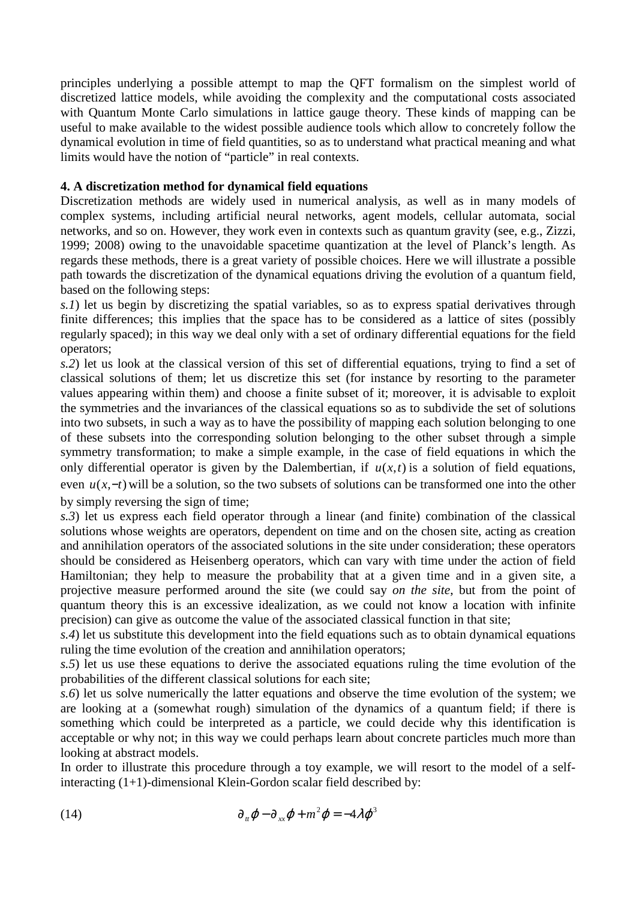principles underlying a possible attempt to map the QFT formalism on the simplest world of discretized lattice models, while avoiding the complexity and the computational costs associated with Quantum Monte Carlo simulations in lattice gauge theory. These kinds of mapping can be useful to make available to the widest possible audience tools which allow to concretely follow the dynamical evolution in time of field quantities, so as to understand what practical meaning and what limits would have the notion of "particle" in real contexts.

# **4. A discretization method for dynamical field equations**

Discretization methods are widely used in numerical analysis, as well as in many models of complex systems, including artificial neural networks, agent models, cellular automata, social networks, and so on. However, they work even in contexts such as quantum gravity (see, e.g., Zizzi, 1999; 2008) owing to the unavoidable spacetime quantization at the level of Planck's length. As regards these methods, there is a great variety of possible choices. Here we will illustrate a possible path towards the discretization of the dynamical equations driving the evolution of a quantum field, based on the following steps:

*s.1*) let us begin by discretizing the spatial variables, so as to express spatial derivatives through finite differences; this implies that the space has to be considered as a lattice of sites (possibly regularly spaced); in this way we deal only with a set of ordinary differential equations for the field operators;

*s.2*) let us look at the classical version of this set of differential equations, trying to find a set of classical solutions of them; let us discretize this set (for instance by resorting to the parameter values appearing within them) and choose a finite subset of it; moreover, it is advisable to exploit the symmetries and the invariances of the classical equations so as to subdivide the set of solutions into two subsets, in such a way as to have the possibility of mapping each solution belonging to one of these subsets into the corresponding solution belonging to the other subset through a simple symmetry transformation; to make a simple example, in the case of field equations in which the only differential operator is given by the Dalembertian, if  $u(x,t)$  is a solution of field equations, even *u*(*x*,−*t*) will be a solution, so the two subsets of solutions can be transformed one into the other by simply reversing the sign of time;

*s.3*) let us express each field operator through a linear (and finite) combination of the classical solutions whose weights are operators, dependent on time and on the chosen site, acting as creation and annihilation operators of the associated solutions in the site under consideration; these operators should be considered as Heisenberg operators, which can vary with time under the action of field Hamiltonian; they help to measure the probability that at a given time and in a given site, a projective measure performed around the site (we could say *on the site*, but from the point of quantum theory this is an excessive idealization, as we could not know a location with infinite precision) can give as outcome the value of the associated classical function in that site;

*s.4*) let us substitute this development into the field equations such as to obtain dynamical equations ruling the time evolution of the creation and annihilation operators;

*s.5*) let us use these equations to derive the associated equations ruling the time evolution of the probabilities of the different classical solutions for each site;

*s.6*) let us solve numerically the latter equations and observe the time evolution of the system; we are looking at a (somewhat rough) simulation of the dynamics of a quantum field; if there is something which could be interpreted as a particle, we could decide why this identification is acceptable or why not; in this way we could perhaps learn about concrete particles much more than looking at abstract models.

In order to illustrate this procedure through a toy example, we will resort to the model of a selfinteracting (1+1)-dimensional Klein-Gordon scalar field described by:

(14) 
$$
\partial_{\mu} \varphi - \partial_{xx} \varphi + m^{2} \varphi = -4 \lambda \varphi^{3}
$$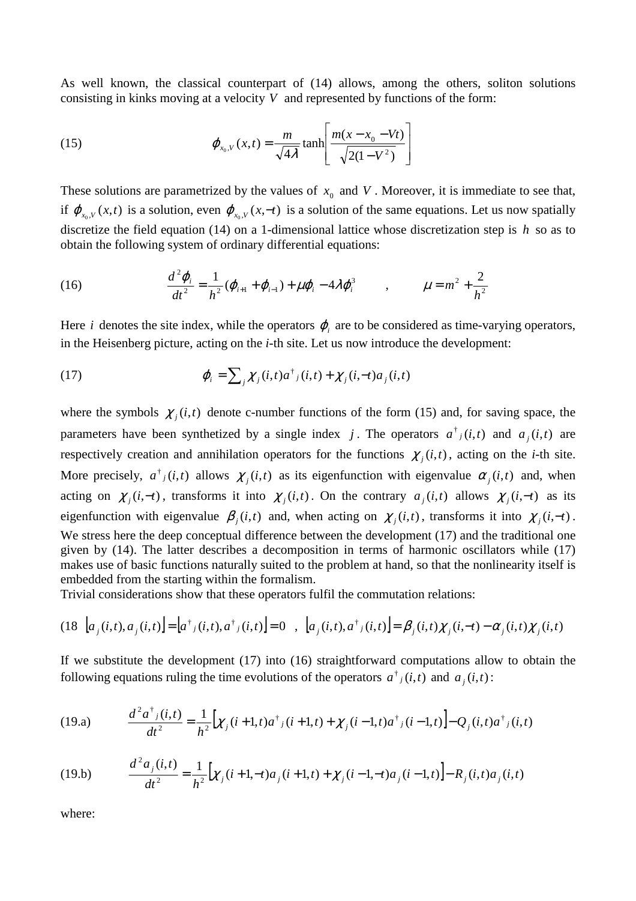As well known, the classical counterpart of (14) allows, among the others, soliton solutions consisting in kinks moving at a velocity *V* and represented by functions of the form:

(15) 
$$
\varphi_{x_0, V}(x, t) = \frac{m}{\sqrt{4\lambda}} \tanh\left[\frac{m(x - x_0 - Vt)}{\sqrt{2(1 - V^2)}}\right]
$$

These solutions are parametrized by the values of  $x_0$  and  $V$ . Moreover, it is immediate to see that, if  $\varphi_{x_0, V}(x, t)$  is a solution, even  $\varphi_{x_0, V}(x, -t)$  is a solution of the same equations. Let us now spatially discretize the field equation (14) on a 1-dimensional lattice whose discretization step is *h* so as to obtain the following system of ordinary differential equations:

(16) 
$$
\frac{d^2 \varphi_i}{dt^2} = \frac{1}{h^2} (\varphi_{i+1} + \varphi_{i-1}) + \mu \varphi_i - 4\lambda \varphi_i^3 \qquad , \qquad \mu = m^2 + \frac{2}{h^2}
$$

Here *i* denotes the site index, while the operators  $\varphi$  are to be considered as time-varying operators, in the Heisenberg picture, acting on the *i*-th site. Let us now introduce the development:

(17) 
$$
\varphi_i = \sum_j \chi_j(i,t) a^{\dagger}{}_j(i,t) + \chi_j(i,-t) a_j(i,t)
$$

where the symbols  $\chi_j(i, t)$  denote c-number functions of the form (15) and, for saving space, the parameters have been synthetized by a single index j. The operators  $a^{\dagger}$ <sub>j</sub> $(i,t)$  and  $a_j(i,t)$  are respectively creation and annihilation operators for the functions  $\chi_j(i, t)$ , acting on the *i*-th site. More precisely,  $a^{\dagger}{}_{j}(i,t)$  allows  $\chi_{j}(i,t)$  as its eigenfunction with eigenvalue  $\alpha_{j}(i,t)$  and, when acting on  $\chi_j(i, -t)$ , transforms it into  $\chi_j(i, t)$ . On the contrary  $a_j(i, t)$  allows  $\chi_j(i, -t)$  as its eigenfunction with eigenvalue  $\beta_j(i, t)$  and, when acting on  $\chi_j(i, t)$ , transforms it into  $\chi_j(i, -t)$ . We stress here the deep conceptual difference between the development (17) and the traditional one given by (14). The latter describes a decomposition in terms of harmonic oscillators while (17) makes use of basic functions naturally suited to the problem at hand, so that the nonlinearity itself is embedded from the starting within the formalism.

Trivial considerations show that these operators fulfil the commutation relations:

$$
(18 \ [\ a_j(i,t), a_j(i,t)] = [a^{\dagger}{}_{j}(i,t), a^{\dagger}{}_{j}(i,t)] = 0 \ , \ [a_j(i,t), a^{\dagger}{}_{j}(i,t)] = \beta_j(i,t) \chi_{j}(i,-t) - \alpha_j(i,t) \chi_{j}(i,t)
$$

If we substitute the development (17) into (16) straightforward computations allow to obtain the following equations ruling the time evolutions of the operators  $a^{\dagger}$  *j*(*i*,*t*) and  $a_j$ (*i*,*t*):

(19.a) 
$$
\frac{d^2 a^{\dagger}_{j}(i,t)}{dt^2} = \frac{1}{h^2} \Big[ \chi_{j}(i+1,t) a^{\dagger}_{j}(i+1,t) + \chi_{j}(i-1,t) a^{\dagger}_{j}(i-1,t) \Big] - Q_{j}(i,t) a^{\dagger}_{j}(i,t)
$$

(19.b) 
$$
\frac{d^2 a_j(i,t)}{dt^2} = \frac{1}{h^2} \Big[ \chi_j(i+1,-t) a_j(i+1,t) + \chi_j(i-1,-t) a_j(i-1,t) \Big] - R_j(i,t) a_j(i,t)
$$

where: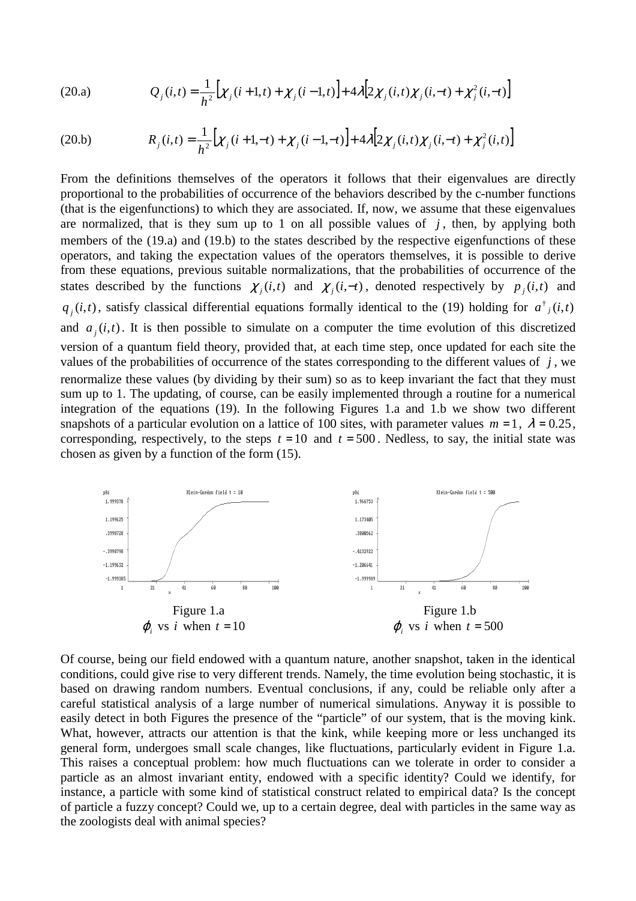(20.a) 
$$
Q_j(i,t) = \frac{1}{h^2} \Big[ \chi_j(i+1,t) + \chi_j(i-1,t) \Big] + 4\lambda \Big[ 2\chi_j(i,t)\chi_j(i,-t) + \chi_j^2(i,-t) \Big]
$$

(20.b) 
$$
R_j(i,t) = \frac{1}{h^2} \Big[ \chi_j(i+1,-t) + \chi_j(i-1,-t) \Big] + 4\lambda \Big[ 2\chi_j(i,t)\chi_j(i,-t) + \chi_j^2(i,t) \Big]
$$

From the definitions themselves of the operators it follows that their eigenvalues are directly proportional to the probabilities of occurrence of the behaviors described by the c-number functions (that is the eigenfunctions) to which they are associated. If, now, we assume that these eigenvalues are normalized, that is they sum up to 1 on all possible values of  $j$ , then, by applying both members of the (19.a) and (19.b) to the states described by the respective eigenfunctions of these operators, and taking the expectation values of the operators themselves, it is possible to derive from these equations, previous suitable normalizations, that the probabilities of occurrence of the states described by the functions  $\chi_j(i, t)$  and  $\chi_j(i, -t)$ , denoted respectively by  $p_j(i, t)$  and  $q_j(i,t)$ , satisfy classical differential equations formally identical to the (19) holding for  $a^{\dagger}$ <sub>*i*</sub>(*i*,*t*) and  $a_j(i,t)$ . It is then possible to simulate on a computer the time evolution of this discretized version of a quantum field theory, provided that, at each time step, once updated for each site the values of the probabilities of occurrence of the states corresponding to the different values of  $j$ , we renormalize these values (by dividing by their sum) so as to keep invariant the fact that they must sum up to 1. The updating, of course, can be easily implemented through a routine for a numerical integration of the equations (19). In the following Figures 1.a and 1.b we show two different snapshots of a particular evolution on a lattice of 100 sites, with parameter values  $m = 1$ ,  $\lambda = 0.25$ , corresponding, respectively, to the steps  $t = 10$  and  $t = 500$ . Nedless, to say, the initial state was chosen as given by a function of the form (15).



Of course, being our field endowed with a quantum nature, another snapshot, taken in the identical conditions, could give rise to very different trends. Namely, the time evolution being stochastic, it is based on drawing random numbers. Eventual conclusions, if any, could be reliable only after a careful statistical analysis of a large number of numerical simulations. Anyway it is possible to easily detect in both Figures the presence of the "particle" of our system, that is the moving kink. What, however, attracts our attention is that the kink, while keeping more or less unchanged its general form, undergoes small scale changes, like fluctuations, particularly evident in Figure 1.a. This raises a conceptual problem: how much fluctuations can we tolerate in order to consider a particle as an almost invariant entity, endowed with a specific identity? Could we identify, for instance, a particle with some kind of statistical construct related to empirical data? Is the concept of particle a fuzzy concept? Could we, up to a certain degree, deal with particles in the same way as the zoologists deal with animal species?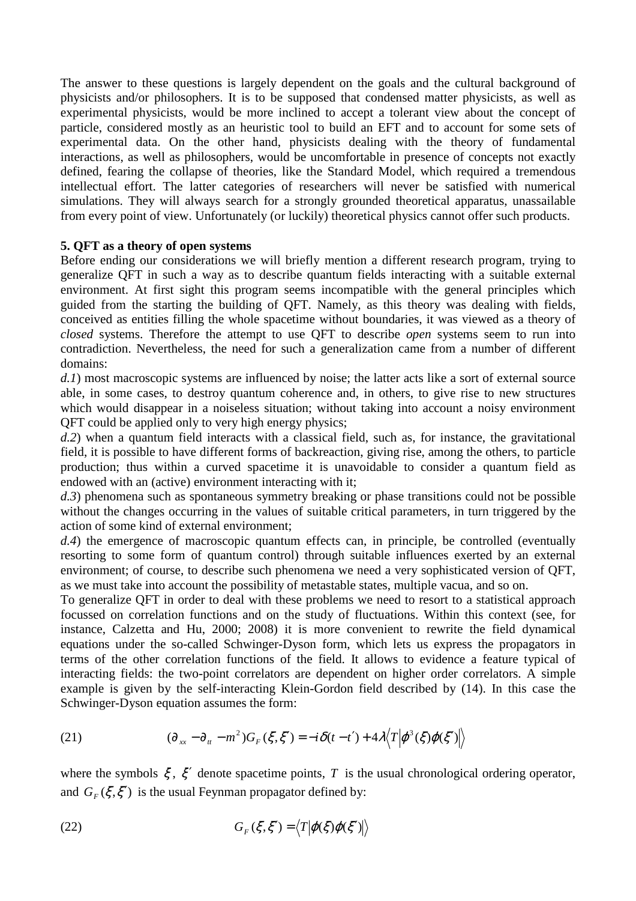The answer to these questions is largely dependent on the goals and the cultural background of physicists and/or philosophers. It is to be supposed that condensed matter physicists, as well as experimental physicists, would be more inclined to accept a tolerant view about the concept of particle, considered mostly as an heuristic tool to build an EFT and to account for some sets of experimental data. On the other hand, physicists dealing with the theory of fundamental interactions, as well as philosophers, would be uncomfortable in presence of concepts not exactly defined, fearing the collapse of theories, like the Standard Model, which required a tremendous intellectual effort. The latter categories of researchers will never be satisfied with numerical simulations. They will always search for a strongly grounded theoretical apparatus, unassailable from every point of view. Unfortunately (or luckily) theoretical physics cannot offer such products.

## **5. QFT as a theory of open systems**

Before ending our considerations we will briefly mention a different research program, trying to generalize QFT in such a way as to describe quantum fields interacting with a suitable external environment. At first sight this program seems incompatible with the general principles which guided from the starting the building of QFT. Namely, as this theory was dealing with fields, conceived as entities filling the whole spacetime without boundaries, it was viewed as a theory of *closed* systems. Therefore the attempt to use QFT to describe *open* systems seem to run into contradiction. Nevertheless, the need for such a generalization came from a number of different domains:

*d.1*) most macroscopic systems are influenced by noise; the latter acts like a sort of external source able, in some cases, to destroy quantum coherence and, in others, to give rise to new structures which would disappear in a noiseless situation; without taking into account a noisy environment QFT could be applied only to very high energy physics;

*d.2*) when a quantum field interacts with a classical field, such as, for instance, the gravitational field, it is possible to have different forms of backreaction, giving rise, among the others, to particle production; thus within a curved spacetime it is unavoidable to consider a quantum field as endowed with an (active) environment interacting with it;

*d.3*) phenomena such as spontaneous symmetry breaking or phase transitions could not be possible without the changes occurring in the values of suitable critical parameters, in turn triggered by the action of some kind of external environment;

*d.4*) the emergence of macroscopic quantum effects can, in principle, be controlled (eventually resorting to some form of quantum control) through suitable influences exerted by an external environment; of course, to describe such phenomena we need a very sophisticated version of QFT, as we must take into account the possibility of metastable states, multiple vacua, and so on.

To generalize QFT in order to deal with these problems we need to resort to a statistical approach focussed on correlation functions and on the study of fluctuations. Within this context (see, for instance, Calzetta and Hu, 2000; 2008) it is more convenient to rewrite the field dynamical equations under the so-called Schwinger-Dyson form, which lets us express the propagators in terms of the other correlation functions of the field. It allows to evidence a feature typical of interacting fields: the two-point correlators are dependent on higher order correlators. A simple example is given by the self-interacting Klein-Gordon field described by (14). In this case the Schwinger-Dyson equation assumes the form:

(21) 
$$
(\partial_{xx} - \partial_{tt} - m^2)G_F(\xi, \xi') = -i\delta(t - t') + 4\lambda \langle T | \varphi^3(\xi)\varphi(\xi') | \rangle
$$

where the symbols  $\xi$ ,  $\xi'$  denote spacetime points, *T* is the usual chronological ordering operator, and  $G_F(\xi, \xi')$  is the usual Feynman propagator defined by:

(22) 
$$
G_F(\xi, \xi') = \langle T | \varphi(\xi) \varphi(\xi') | \rangle
$$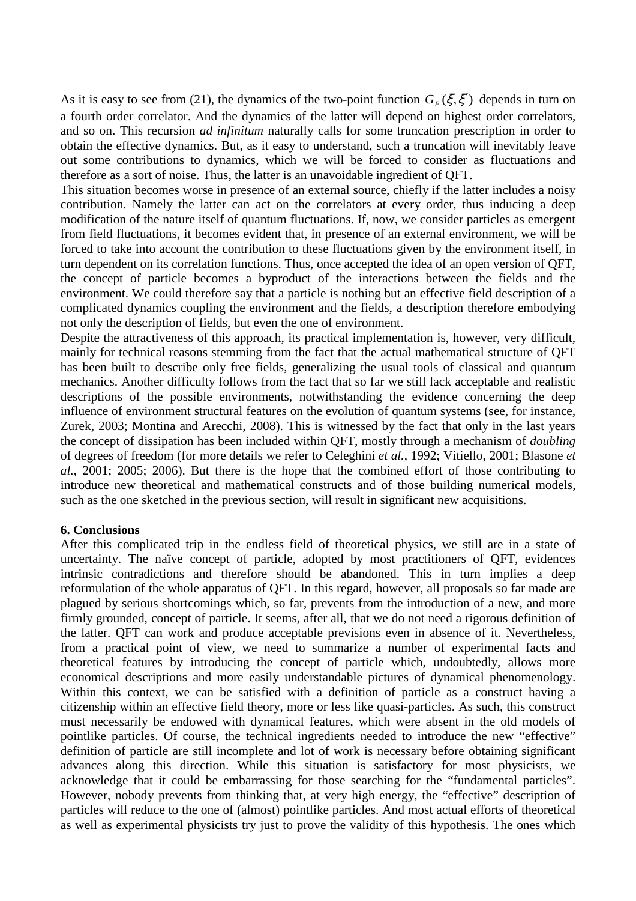As it is easy to see from (21), the dynamics of the two-point function  $G_F(\xi, \xi')$  depends in turn on a fourth order correlator. And the dynamics of the latter will depend on highest order correlators, and so on. This recursion *ad infinitum* naturally calls for some truncation prescription in order to obtain the effective dynamics. But, as it easy to understand, such a truncation will inevitably leave out some contributions to dynamics, which we will be forced to consider as fluctuations and therefore as a sort of noise. Thus, the latter is an unavoidable ingredient of QFT.

This situation becomes worse in presence of an external source, chiefly if the latter includes a noisy contribution. Namely the latter can act on the correlators at every order, thus inducing a deep modification of the nature itself of quantum fluctuations. If, now, we consider particles as emergent from field fluctuations, it becomes evident that, in presence of an external environment, we will be forced to take into account the contribution to these fluctuations given by the environment itself, in turn dependent on its correlation functions. Thus, once accepted the idea of an open version of QFT, the concept of particle becomes a byproduct of the interactions between the fields and the environment. We could therefore say that a particle is nothing but an effective field description of a complicated dynamics coupling the environment and the fields, a description therefore embodying not only the description of fields, but even the one of environment.

Despite the attractiveness of this approach, its practical implementation is, however, very difficult, mainly for technical reasons stemming from the fact that the actual mathematical structure of QFT has been built to describe only free fields, generalizing the usual tools of classical and quantum mechanics. Another difficulty follows from the fact that so far we still lack acceptable and realistic descriptions of the possible environments, notwithstanding the evidence concerning the deep influence of environment structural features on the evolution of quantum systems (see, for instance, Zurek, 2003; Montina and Arecchi, 2008). This is witnessed by the fact that only in the last years the concept of dissipation has been included within QFT, mostly through a mechanism of *doubling* of degrees of freedom (for more details we refer to Celeghini *et al.*, 1992; Vitiello, 2001; Blasone *et al.*, 2001; 2005; 2006). But there is the hope that the combined effort of those contributing to introduce new theoretical and mathematical constructs and of those building numerical models, such as the one sketched in the previous section, will result in significant new acquisitions.

## **6. Conclusions**

After this complicated trip in the endless field of theoretical physics, we still are in a state of uncertainty. The naïve concept of particle, adopted by most practitioners of QFT, evidences intrinsic contradictions and therefore should be abandoned. This in turn implies a deep reformulation of the whole apparatus of QFT. In this regard, however, all proposals so far made are plagued by serious shortcomings which, so far, prevents from the introduction of a new, and more firmly grounded, concept of particle. It seems, after all, that we do not need a rigorous definition of the latter. QFT can work and produce acceptable previsions even in absence of it. Nevertheless, from a practical point of view, we need to summarize a number of experimental facts and theoretical features by introducing the concept of particle which, undoubtedly, allows more economical descriptions and more easily understandable pictures of dynamical phenomenology. Within this context, we can be satisfied with a definition of particle as a construct having a citizenship within an effective field theory, more or less like quasi-particles. As such, this construct must necessarily be endowed with dynamical features, which were absent in the old models of pointlike particles. Of course, the technical ingredients needed to introduce the new "effective" definition of particle are still incomplete and lot of work is necessary before obtaining significant advances along this direction. While this situation is satisfactory for most physicists, we acknowledge that it could be embarrassing for those searching for the "fundamental particles". However, nobody prevents from thinking that, at very high energy, the "effective" description of particles will reduce to the one of (almost) pointlike particles. And most actual efforts of theoretical as well as experimental physicists try just to prove the validity of this hypothesis. The ones which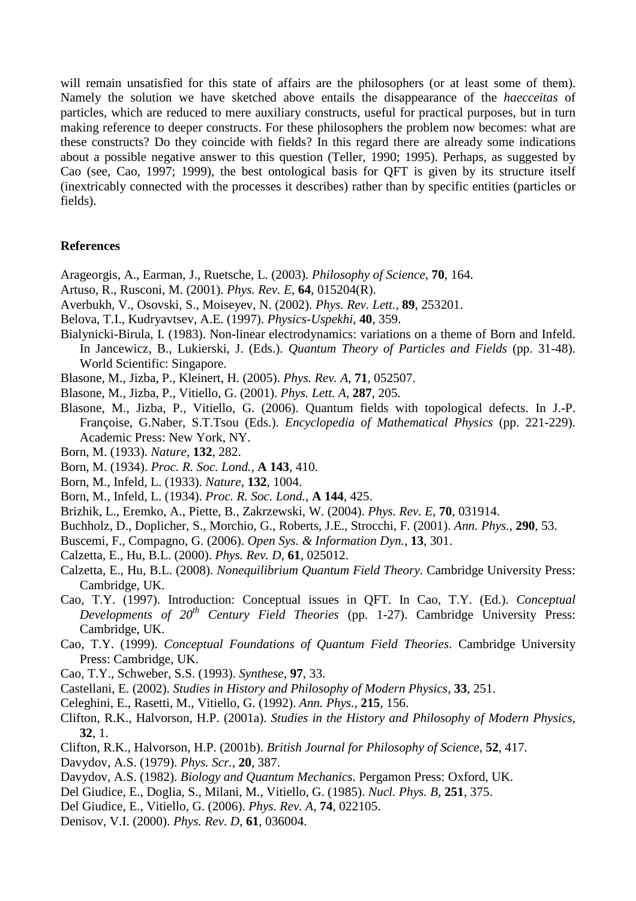will remain unsatisfied for this state of affairs are the philosophers (or at least some of them). Namely the solution we have sketched above entails the disappearance of the *haecceitas* of particles, which are reduced to mere auxiliary constructs, useful for practical purposes, but in turn making reference to deeper constructs. For these philosophers the problem now becomes: what are these constructs? Do they coincide with fields? In this regard there are already some indications about a possible negative answer to this question (Teller, 1990; 1995). Perhaps, as suggested by Cao (see, Cao, 1997; 1999), the best ontological basis for QFT is given by its structure itself (inextricably connected with the processes it describes) rather than by specific entities (particles or fields).

#### **References**

- Arageorgis, A., Earman, J., Ruetsche, L. (2003). *Philosophy of Science*, **70**, 164.
- Artuso, R., Rusconi, M. (2001). *Phys. Rev. E*, **64**, 015204(R).
- Averbukh, V., Osovski, S., Moiseyev, N. (2002). *Phys. Rev. Lett.*, **89**, 253201.
- Belova, T.I., Kudryavtsev, A.E. (1997). *Physics-Uspekhi*, **40**, 359.
- Bialynicki-Birula, I. (1983). Non-linear electrodynamics: variations on a theme of Born and Infeld. In Jancewicz, B., Lukierski, J. (Eds.). *Quantum Theory of Particles and Fields* (pp. 31-48). World Scientific: Singapore.
- Blasone, M., Jizba, P., Kleinert, H. (2005). *Phys. Rev. A*, **71**, 052507.
- Blasone, M., Jizba, P., Vitiello, G. (2001). *Phys. Lett. A*, **287**, 205.
- Blasone, M., Jizba, P., Vitiello, G. (2006). Quantum fields with topological defects. In J.-P. Françoise, G.Naber, S.T.Tsou (Eds.). *Encyclopedia of Mathematical Physics* (pp. 221-229). Academic Press: New York, NY.
- Born, M. (1933). *Nature*, **132**, 282.
- Born, M. (1934). *Proc. R. Soc. Lond.*, **A 143**, 410.
- Born, M., Infeld, L. (1933). *Nature*, **132**, 1004.
- Born, M., Infeld, L. (1934). *Proc. R. Soc. Lond.*, **A 144**, 425.
- Brizhik, L., Eremko, A., Piette, B., Zakrzewski, W. (2004). *Phys. Rev. E*, **70**, 031914.
- Buchholz, D., Doplicher, S., Morchio, G., Roberts, J.E., Strocchi, F. (2001). *Ann. Phys.*, **290**, 53.
- Buscemi, F., Compagno, G. (2006). *Open Sys. & Information Dyn.*, **13**, 301.
- Calzetta, E., Hu, B.L. (2000). *Phys. Rev. D*, **61**, 025012.
- Calzetta, E., Hu, B.L. (2008). *Nonequilibrium Quantum Field Theory*. Cambridge University Press: Cambridge, UK.
- Cao, T.Y. (1997). Introduction: Conceptual issues in QFT. In Cao, T.Y. (Ed.). *Conceptual Developments of 20th Century Field Theories* (pp. 1-27). Cambridge University Press: Cambridge, UK.
- Cao, T.Y. (1999). *Conceptual Foundations of Quantum Field Theories*. Cambridge University Press: Cambridge, UK.
- Cao, T.Y., Schweber, S.S. (1993). *Synthese*, **97**, 33.
- Castellani, E. (2002). *Studies in History and Philosophy of Modern Physics*, **33**, 251.
- Celeghini, E., Rasetti, M., Vitiello, G. (1992). *Ann. Phys.*, **215**, 156.
- Clifton, R.K., Halvorson, H.P. (2001a). *Studies in the History and Philosophy of Modern Physics*, **32**, 1.
- Clifton, R.K., Halvorson, H.P. (2001b). *British Journal for Philosophy of Science*, **52**, 417.
- Davydov, A.S. (1979). *Phys. Scr.*, **20**, 387.
- Davydov, A.S. (1982). *Biology and Quantum Mechanics*. Pergamon Press: Oxford, UK.
- Del Giudice, E., Doglia, S., Milani, M., Vitiello, G. (1985). *Nucl. Phys. B*, **251**, 375.
- Del Giudice, E., Vitiello, G. (2006). *Phys. Rev. A*, **74**, 022105.
- Denisov, V.I. (2000). *Phys. Rev. D*, **61**, 036004.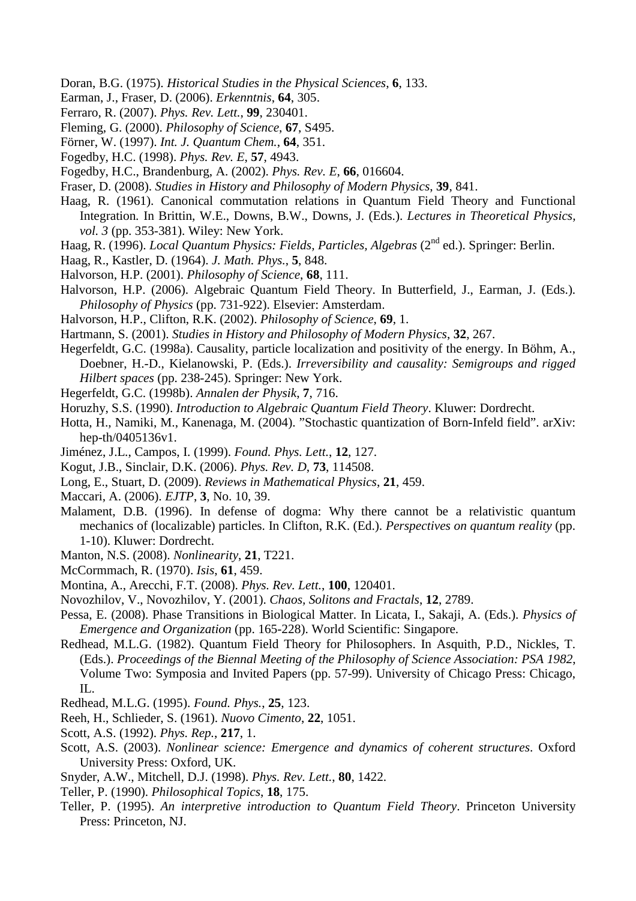- Doran, B.G. (1975). *Historical Studies in the Physical Sciences*, **6**, 133.
- Earman, J., Fraser, D. (2006). *Erkenntnis*, **64**, 305.
- Ferraro, R. (2007). *Phys. Rev. Lett.*, **99**, 230401.
- Fleming, G. (2000). *Philosophy of Science*, **67**, S495.
- Förner, W. (1997). *Int. J. Quantum Chem.*, **64**, 351.
- Fogedby, H.C. (1998). *Phys. Rev. E*, **57**, 4943.
- Fogedby, H.C., Brandenburg, A. (2002). *Phys. Rev. E*, **66**, 016604.
- Fraser, D. (2008). *Studies in History and Philosophy of Modern Physics*, **39**, 841.
- Haag, R. (1961). Canonical commutation relations in Quantum Field Theory and Functional Integration*.* In Brittin, W.E., Downs, B.W., Downs, J. (Eds.). *Lectures in Theoretical Physics, vol. 3* (pp. 353-381). Wiley: New York.
- Haag, R. (1996). *Local Quantum Physics: Fields, Particles, Algebras* (2nd ed.). Springer: Berlin.
- Haag, R., Kastler, D. (1964). *J. Math. Phys.*, **5**, 848.
- Halvorson, H.P. (2001). *Philosophy of Science*, **68**, 111.
- Halvorson, H.P. (2006). Algebraic Quantum Field Theory. In Butterfield, J., Earman, J. (Eds.). *Philosophy of Physics* (pp. 731-922). Elsevier: Amsterdam.
- Halvorson, H.P., Clifton, R.K. (2002). *Philosophy of Science*, **69**, 1.
- Hartmann, S. (2001). *Studies in History and Philosophy of Modern Physics*, **32**, 267.
- Hegerfeldt, G.C. (1998a). Causality, particle localization and positivity of the energy. In Böhm, A., Doebner, H.-D., Kielanowski, P. (Eds.). *Irreversibility and causality: Semigroups and rigged Hilbert spaces* (pp. 238-245). Springer: New York.
- Hegerfeldt, G.C. (1998b). *Annalen der Physik*, **7**, 716.
- Horuzhy, S.S. (1990). *Introduction to Algebraic Quantum Field Theory*. Kluwer: Dordrecht.
- Hotta, H., Namiki, M., Kanenaga, M. (2004). "Stochastic quantization of Born-Infeld field". arXiv: hep-th/0405136v1.
- Jiménez, J.L., Campos, I. (1999). *Found. Phys. Lett.*, **12**, 127.
- Kogut, J.B., Sinclair, D.K. (2006). *Phys. Rev. D*, **73**, 114508.
- Long, E., Stuart, D. (2009). *Reviews in Mathematical Physics*, **21**, 459.
- Maccari, A. (2006). *EJTP*, **3**, No. 10, 39.
- Malament, D.B. (1996). In defense of dogma: Why there cannot be a relativistic quantum mechanics of (localizable) particles. In Clifton, R.K. (Ed.). *Perspectives on quantum reality* (pp. 1-10). Kluwer: Dordrecht.
- Manton, N.S. (2008). *Nonlinearity*, **21**, T221.
- McCormmach, R. (1970). *Isis*, **61**, 459.
- Montina, A., Arecchi, F.T. (2008). *Phys. Rev. Lett.*, **100**, 120401.
- Novozhilov, V., Novozhilov, Y. (2001). *Chaos, Solitons and Fractals*, **12**, 2789.
- Pessa, E. (2008). Phase Transitions in Biological Matter. In Licata, I., Sakaji, A. (Eds.). *Physics of Emergence and Organization* (pp. 165-228). World Scientific: Singapore.
- Redhead, M.L.G. (1982). Quantum Field Theory for Philosophers. In Asquith, P.D., Nickles, T. (Eds.). *Proceedings of the Biennal Meeting of the Philosophy of Science Association: PSA 1982*, Volume Two: Symposia and Invited Papers (pp. 57-99). University of Chicago Press: Chicago,  $\Pi$ .
- Redhead, M.L.G. (1995). *Found. Phys.*, **25**, 123.
- Reeh, H., Schlieder, S. (1961). *Nuovo Cimento*, **22**, 1051.
- Scott, A.S. (1992). *Phys. Rep.*, **217**, 1.
- Scott, A.S. (2003). *Nonlinear science: Emergence and dynamics of coherent structures*. Oxford University Press: Oxford, UK.
- Snyder, A.W., Mitchell, D.J. (1998). *Phys. Rev. Lett.*, **80**, 1422.
- Teller, P. (1990). *Philosophical Topics*, **18**, 175.
- Teller, P. (1995). *An interpretive introduction to Quantum Field Theory*. Princeton University Press: Princeton, NJ.